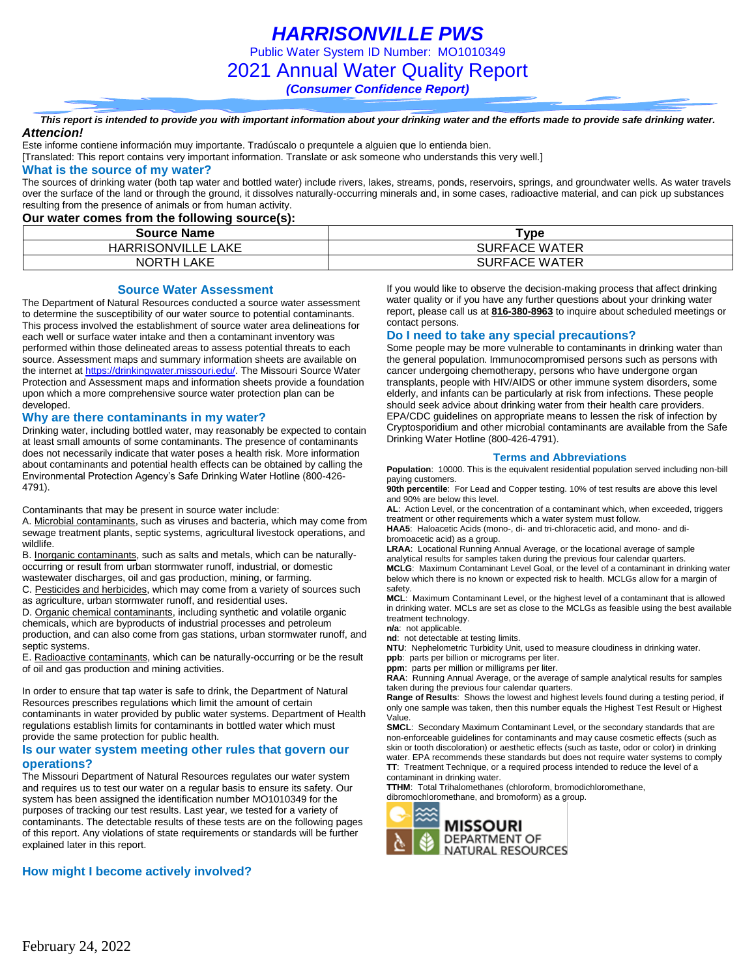*HARRISONVILLE PWS* Public Water System ID Number: MO1010349 2021 Annual Water Quality Report

*(Consumer Confidence Report)*

#### *This report is intended to provide you with important information about your drinking water and the efforts made to provide safe drinking water. Attencion!*

Este informe contiene información muy importante. Tradúscalo o prequntele a alguien que lo entienda bien.

[Translated: This report contains very important information. Translate or ask someone who understands this very well.]

#### **What is the source of my water?**

The sources of drinking water (both tap water and bottled water) include rivers, lakes, streams, ponds, reservoirs, springs, and groundwater wells. As water travels over the surface of the land or through the ground, it dissolves naturally-occurring minerals and, in some cases, radioactive material, and can pick up substances resulting from the presence of animals or from human activity.

### **Our water comes from the following source(s):**

| <b>Source Name</b>                    | ™vpe                 |
|---------------------------------------|----------------------|
| <b>HARRISONVILLE L</b><br><b>LAKE</b> | <b>SURFACE WATER</b> |
| LAKE<br><b>NORTH</b>                  | <b>SURFACE WATER</b> |

#### **Source Water Assessment**

The Department of Natural Resources conducted a source water assessment to determine the susceptibility of our water source to potential contaminants. This process involved the establishment of source water area delineations for each well or surface water intake and then a contaminant inventory was performed within those delineated areas to assess potential threats to each source. Assessment maps and summary information sheets are available on the internet a[t https://drinkingwater.missouri.edu/.](https://drinkingwater.missouri.edu/) The Missouri Source Water Protection and Assessment maps and information sheets provide a foundation upon which a more comprehensive source water protection plan can be developed.

### **Why are there contaminants in my water?**

Drinking water, including bottled water, may reasonably be expected to contain at least small amounts of some contaminants. The presence of contaminants does not necessarily indicate that water poses a health risk. More information about contaminants and potential health effects can be obtained by calling the Environmental Protection Agency's Safe Drinking Water Hotline (800-426- 4791).

Contaminants that may be present in source water include:

A. Microbial contaminants, such as viruses and bacteria, which may come from sewage treatment plants, septic systems, agricultural livestock operations, and wildlife.

B. Inorganic contaminants, such as salts and metals, which can be naturallyoccurring or result from urban stormwater runoff, industrial, or domestic

wastewater discharges, oil and gas production, mining, or farming.

C. Pesticides and herbicides, which may come from a variety of sources such as agriculture, urban stormwater runoff, and residential uses.

D. Organic chemical contaminants, including synthetic and volatile organic chemicals, which are byproducts of industrial processes and petroleum production, and can also come from gas stations, urban stormwater runoff, and septic systems.

E. Radioactive contaminants, which can be naturally-occurring or be the result of oil and gas production and mining activities.

In order to ensure that tap water is safe to drink, the Department of Natural Resources prescribes regulations which limit the amount of certain contaminants in water provided by public water systems. Department of Health regulations establish limits for contaminants in bottled water which must provide the same protection for public health.

#### **Is our water system meeting other rules that govern our operations?**

The Missouri Department of Natural Resources regulates our water system and requires us to test our water on a regular basis to ensure its safety. Our system has been assigned the identification number MO1010349 for the purposes of tracking our test results. Last year, we tested for a variety of contaminants. The detectable results of these tests are on the following pages of this report. Any violations of state requirements or standards will be further explained later in this report.

## **How might I become actively involved?**

If you would like to observe the decision-making process that affect drinking water quality or if you have any further questions about your drinking water report, please call us at **816-380-8963** to inquire about scheduled meetings or contact persons.

### **Do I need to take any special precautions?**

Some people may be more vulnerable to contaminants in drinking water than the general population. Immunocompromised persons such as persons with cancer undergoing chemotherapy, persons who have undergone organ transplants, people with HIV/AIDS or other immune system disorders, some elderly, and infants can be particularly at risk from infections. These people should seek advice about drinking water from their health care providers. EPA/CDC guidelines on appropriate means to lessen the risk of infection by Cryptosporidium and other microbial contaminants are available from the Safe Drinking Water Hotline (800-426-4791).

### **Terms and Abbreviations**

**Population**: 10000. This is the equivalent residential population served including non-bill paying customers.

**90th percentile**: For Lead and Copper testing. 10% of test results are above this level and 90% are below this level.

**AL**: Action Level, or the concentration of a contaminant which, when exceeded, triggers treatment or other requirements which a water system must follow.

**HAA5**: Haloacetic Acids (mono-, di- and tri-chloracetic acid, and mono- and dibromoacetic acid) as a group.

**LRAA**: Locational Running Annual Average, or the locational average of sample analytical results for samples taken during the previous four calendar quarters.

**MCLG**: Maximum Contaminant Level Goal, or the level of a contaminant in drinking water below which there is no known or expected risk to health. MCLGs allow for a margin of safety.

**MCL**: Maximum Contaminant Level, or the highest level of a contaminant that is allowed in drinking water. MCLs are set as close to the MCLGs as feasible using the best available treatment technology.

**n/a**: not applicable.

**nd**: not detectable at testing limits.

**NTU**: Nephelometric Turbidity Unit, used to measure cloudiness in drinking water. **ppb**: parts per billion or micrograms per liter.

**ppm**: parts per million or milligrams per liter.

**RAA**: Running Annual Average, or the average of sample analytical results for samples taken during the previous four calendar quarters.

**Range of Results**: Shows the lowest and highest levels found during a testing period, if only one sample was taken, then this number equals the Highest Test Result or Highest Value.

**SMCL**: Secondary Maximum Contaminant Level, or the secondary standards that are non-enforceable guidelines for contaminants and may cause cosmetic effects (such as skin or tooth discoloration) or aesthetic effects (such as taste, odor or color) in drinking water. EPA recommends these standards but does not require water systems to comply **TT**: Treatment Technique, or a required process intended to reduce the level of a contaminant in drinking water.

**TTHM**: Total Trihalomethanes (chloroform, bromodichloromethane,

dibromochloromethane, and bromoform) as a group.

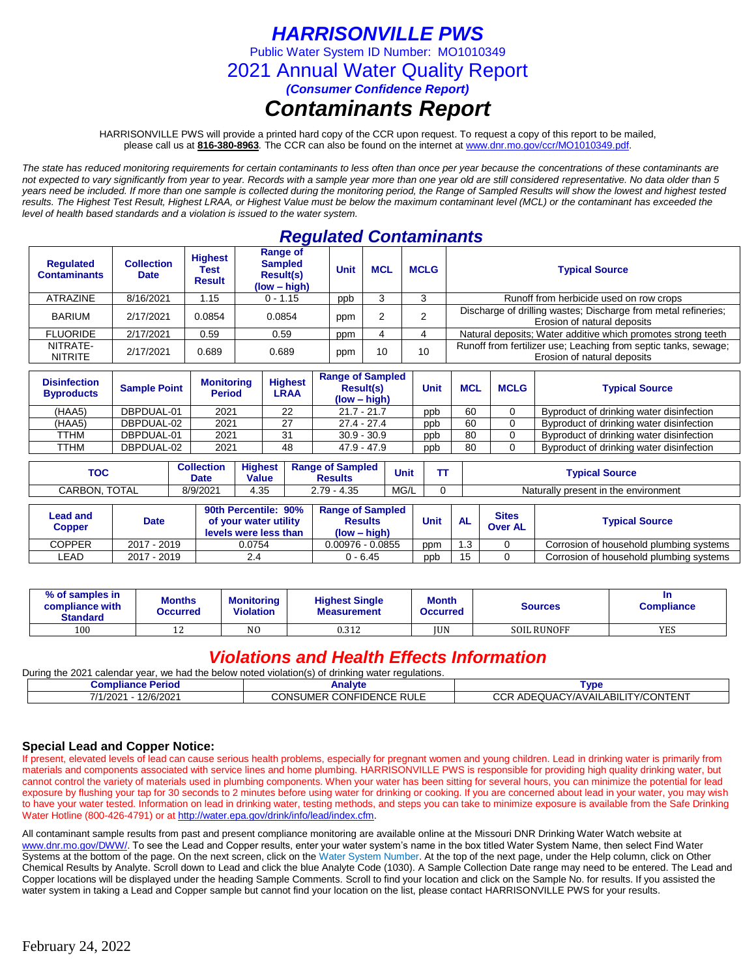# *HARRISONVILLE PWS*

Public Water System ID Number: MO1010349

2021 Annual Water Quality Report

*(Consumer Confidence Report)*

# *Contaminants Report*

HARRISONVILLE PWS will provide a printed hard copy of the CCR upon request. To request a copy of this report to be mailed, please call us at **816-380-8963***.* The CCR can also be found on the internet at www.dnr.mo.gov/ccr/MO1010349.pdf.

*The state has reduced monitoring requirements for certain contaminants to less often than once per year because the concentrations of these contaminants are not expected to vary significantly from year to year. Records with a sample year more than one year old are still considered representative. No data older than 5 years need be included. If more than one sample is collected during the monitoring period, the Range of Sampled Results will show the lowest and highest tested results. The Highest Test Result, Highest LRAA, or Highest Value must be below the maximum contaminant level (MCL) or the contaminant has exceeded the level of health based standards and a violation is issued to the water system.* 

# *Regulated Contaminants*

|                            | <b>Requlated</b><br><b>Contaminants</b> | <b>Collection</b><br><b>Date</b> | <b>Highest</b><br>Test<br><b>Result</b> | Range of<br><b>Sampled</b><br>Result(s)<br>$(low - high)$ | <b>Unit</b> | <b>MCL</b> | <b>MCLG</b> | <b>Typical Source</b>                                                                          |
|----------------------------|-----------------------------------------|----------------------------------|-----------------------------------------|-----------------------------------------------------------|-------------|------------|-------------|------------------------------------------------------------------------------------------------|
|                            | <b>ATRAZINE</b>                         | 8/16/2021                        | .15<br>$0 - 1.15$<br>0.0854<br>0.0854   |                                                           | ppb         |            |             | Runoff from herbicide used on row crops                                                        |
|                            | <b>BARIUM</b>                           | 2/17/2021                        |                                         |                                                           | ppm         |            |             | Discharge of drilling wastes; Discharge from metal refineries;<br>Erosion of natural deposits  |
|                            | <b>FLUORIDE</b>                         | 2/17/2021                        | 0.59                                    | 0.59                                                      | ppm         |            |             | Natural deposits; Water additive which promotes strong teeth                                   |
| NITRATE-<br><b>NITRITE</b> |                                         | 2/17/2021                        | 0.689                                   | 0.689                                                     | ppm         | 10         | 10          | Runoff from fertilizer use; Leaching from septic tanks, sewage;<br>Erosion of natural deposits |

| <b>Disinfection</b><br><b>Byproducts</b> | <b>Sample Point</b> | <b>Monitoring</b><br><b>Period</b> | <b>Highest</b><br>LRAA | <b>Range of Sampled</b><br><b>Result(s)</b><br>$(low - high)$ | Unit | <b>MCL</b> | <b>MCLG</b> | <b>Typical Source</b>                    |
|------------------------------------------|---------------------|------------------------------------|------------------------|---------------------------------------------------------------|------|------------|-------------|------------------------------------------|
| (HAA5)                                   | DBPDUAL-01          | 2021                               | 22                     | $21.7 - 21.7$                                                 | ppb  | 60         |             | Byproduct of drinking water disinfection |
| (HAA5)                                   | DBPDUAL-02          | 2021                               | 27                     | $27.4 - 27.4$                                                 | ppb  | 60         |             | Byproduct of drinking water disinfection |
| TTHM                                     | DBPDUAL-01          | 2021                               | 31                     | $30.9 - 30.9$                                                 | ppb  | 80         |             | Byproduct of drinking water disinfection |
| TTHM                                     | DBPDUAL-02          | 2021                               | 48                     | 47.9 - 47.9                                                   | ppb  | 80         |             | Byproduct of drinking water disinfection |

| тос              | <b>Collection</b><br>Date | Highest<br><b>Value</b> | <b>Range of Sampled</b><br>Results | <b>Unit</b> | Typical Source                       |
|------------------|---------------------------|-------------------------|------------------------------------|-------------|--------------------------------------|
| TOTAL<br>CARBON. | 8/9/2021                  | 25<br>4.ວບ              | $2.79 - 4.35$                      | MG/L        | Naturally present in the environment |

| Lead and<br>Copper | <b>Date</b> | 90th Percentile: 90%<br>of your water utility<br>levels were less than | <b>Range of Sampled</b><br><b>Results</b><br>(low – high) | <b>Unit</b> | <b>AL</b> | <b>Sites</b><br><b>Over AL</b> | <b>Typical Source</b>                   |  |  |
|--------------------|-------------|------------------------------------------------------------------------|-----------------------------------------------------------|-------------|-----------|--------------------------------|-----------------------------------------|--|--|
| <b>COPPER</b>      | 2017 - 2019 | 0.0754                                                                 | $0.00976 - 0.0855$                                        | ppm         | .3        |                                | Corrosion of household plumbing systems |  |  |
| ∟EAD               | 2017 - 2019 |                                                                        | 0 - 6.45                                                  | ppb         | 15        |                                | Corrosion of household plumbing systems |  |  |

| % of samples in<br>compliance with<br><b>Standard</b> | Months<br><b>Occurred</b> | <b>Monitoring</b><br><b>Violation</b> | <b>Highest Single</b><br><b>Measurement</b> | <b>Month</b><br><b>Occurred</b> | Sources            | <b>Compliance</b> |
|-------------------------------------------------------|---------------------------|---------------------------------------|---------------------------------------------|---------------------------------|--------------------|-------------------|
| 100                                                   | ∸                         | N <sub>O</sub>                        | 0.312                                       | <b>IUN</b>                      | <b>SOIL RUNOFF</b> | <b>YES</b>        |

# *Violations and Health Effects Information*

| : 2021<br>During the<br>. calendar vear.<br>. we had the below noted violation(s) of $\epsilon$<br>f drinking water regulations. |                          |                                             |  |  |  |  |  |  |  |
|----------------------------------------------------------------------------------------------------------------------------------|--------------------------|---------------------------------------------|--|--|--|--|--|--|--|
| Compliance Period                                                                                                                | ™vpe                     |                                             |  |  |  |  |  |  |  |
| 12/6/2021<br>7/1/2021                                                                                                            | CONSUMER CONFIDENCE RULE | ADEQUACY/AVAILABILITY/CONTENT<br>∩∩n<br>ししド |  |  |  |  |  |  |  |

## **Special Lead and Copper Notice:**

If present, elevated levels of lead can cause serious health problems, especially for pregnant women and young children. Lead in drinking water is primarily from materials and components associated with service lines and home plumbing. HARRISONVILLE PWS is responsible for providing high quality drinking water, but cannot control the variety of materials used in plumbing components. When your water has been sitting for several hours, you can minimize the potential for lead exposure by flushing your tap for 30 seconds to 2 minutes before using water for drinking or cooking. If you are concerned about lead in your water, you may wish to have your water tested. Information on lead in drinking water, testing methods, and steps you can take to minimize exposure is available from the Safe Drinking Water Hotline (800-426-4791) or at [http://water.epa.gov/drink/info/lead/index.cfm.](http://water.epa.gov/drink/info/lead/index.cfm)

All contaminant sample results from past and present compliance monitoring are available online at the Missouri DNR Drinking Water Watch website at [www.dnr.mo.gov/DWW/.](http://www.dnr.mo.gov/DWW/) To see the Lead and Copper results, enter your water system's name in the box titled Water System Name, then select Find Water Systems at the bottom of the page. On the next screen, click on the Water System Number. At the top of the next page, under the Help column, click on Other Chemical Results by Analyte. Scroll down to Lead and click the blue Analyte Code (1030). A Sample Collection Date range may need to be entered. The Lead and Copper locations will be displayed under the heading Sample Comments. Scroll to find your location and click on the Sample No. for results. If you assisted the water system in taking a Lead and Copper sample but cannot find your location on the list, please contact HARRISONVILLE PWS for your results.